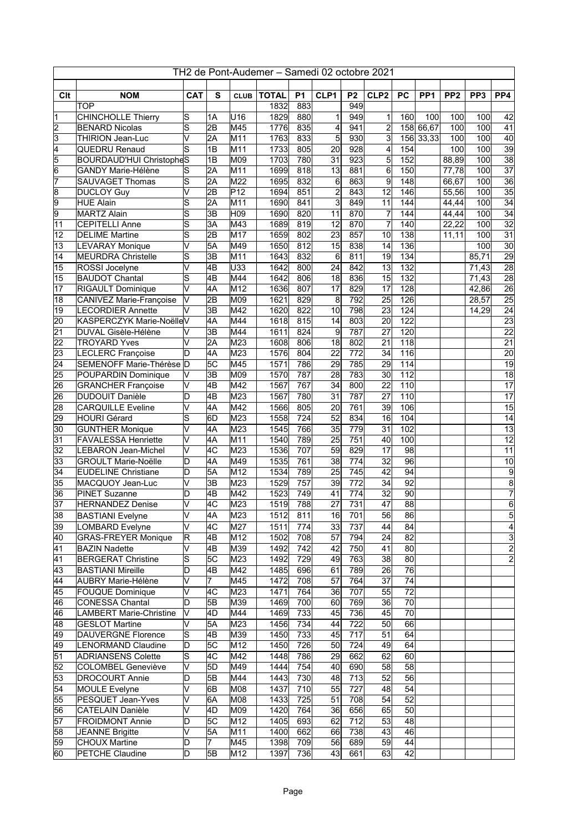| TH2 de Pont-Audemer - Samedi 02 octobre 2021 |                                                 |                                  |                       |                 |              |                  |                                    |                         |                       |                  |                 |                 |                 |                                    |
|----------------------------------------------|-------------------------------------------------|----------------------------------|-----------------------|-----------------|--------------|------------------|------------------------------------|-------------------------|-----------------------|------------------|-----------------|-----------------|-----------------|------------------------------------|
| Clt                                          | <b>NOM</b>                                      | <b>CAT</b>                       | S                     | <b>CLUB</b>     | <b>TOTAL</b> | <b>P1</b>        | CLP1                               | P <sub>2</sub>          | CLP <sub>2</sub>      | PC               | PP <sub>1</sub> | PP <sub>2</sub> | PP <sub>3</sub> | PP <sub>4</sub>                    |
|                                              | <b>TOP</b>                                      |                                  |                       |                 | 1832         | 883              |                                    | 949                     |                       |                  |                 |                 |                 |                                    |
| 1                                            | <b>CHINCHOLLE Thierry</b>                       | $\overline{\mathsf{s}}$          | 1A                    | U16             | 1829         | 880              | 1                                  | 949                     | 1                     | 160              | 100             | 100             | 100             | 42                                 |
|                                              | <b>BENARD Nicolas</b>                           | $\overline{s}$                   | $\overline{2B}$       | M45             | 1776         | 835              | 4                                  | 941                     | $\overline{2}$        |                  | 158 66,67       | 100             | 100             | 41                                 |
| $\frac{2}{4}$                                | <b>THIRION Jean-Luc</b>                         | $\overline{\mathsf{v}}$          | $\overline{2A}$       | M <sub>11</sub> | 1763         | 833              | 5                                  | 930                     | $\overline{3}$        | 156              | 33,33           | 100             | 100             | 40                                 |
|                                              | <b>QUEDRU Renaud</b>                            | $\overline{s}$                   | 1B                    | M <sub>11</sub> | 1733         | 805              | 20                                 | 928                     | $\overline{4}$        | 154              |                 | 100             | 100             | 39                                 |
| $\frac{5}{6}$ $\frac{6}{7}$                  | <b>BOURDAUD'HUI ChristopheS</b>                 |                                  | 1B                    | M09             | 1703         | 780              | 31                                 | 923                     | $5\overline{)}$       | 152              |                 | 88,89           | 100             | $\overline{38}$                    |
|                                              | <b>GANDY Marie-Hélène</b>                       | $ \overline{\mathsf{s}} $        | 2A                    | M <sub>11</sub> | 1699         | 818              | $\overline{13}$                    | 881                     | $\overline{6}$        | 150              |                 | 77,78           | 100             | $\overline{37}$                    |
|                                              | <b>SAUVAGET Thomas</b>                          | S                                | 2A                    | M22             | 1695         | 832              | 6                                  | 863                     | 9                     | $\overline{148}$ |                 | 66,67           | 100             | 36                                 |
| $\overline{8}$                               | <b>DUCLOY Guy</b>                               | V                                | $\overline{2B}$       | P <sub>12</sub> | 1694         | 851              | $\overline{c}$                     | 843                     | 12                    | 146              |                 | 55,56           | 100             | $\overline{35}$                    |
| $\overline{9}$                               | <b>HUE Alain</b>                                | S                                | 2A                    | M <sub>11</sub> | 1690         | 841              | $\overline{3}$                     | 849                     | 11                    | 144              |                 | 44,44           | 100             | $\overline{34}$                    |
| $\overline{9}$                               | <b>MARTZ Alain</b>                              | S                                | $\overline{3B}$       | H <sub>09</sub> | 1690         | 820              | 11                                 | 870                     | $\overline{7}$        | 144              |                 | 44,44           | 100             | 34                                 |
| 11                                           | <b>CEPITELLI Anne</b>                           | $\overline{s}$<br>$\overline{s}$ | 3A<br>$\overline{2B}$ | M43<br>M17      | 1689         | 819<br>802       | $\overline{12}$<br>$\overline{23}$ | 870<br>857              | $\overline{7}$<br>10  | 140<br>138       |                 | 22,22           | 100<br>100      | $\overline{32}$<br>$\overline{31}$ |
| 12<br>13                                     | <b>DELIME Martine</b><br><b>LEVARAY Monique</b> | V                                | $5\overline{A}$       | M49             | 1659<br>1650 | 812              | $\overline{15}$                    | 838                     | 14                    | 136              |                 | 11,11           | 100             | 30                                 |
| $\overline{14}$                              | <b>MEURDRA Christelle</b>                       | s                                | 3B                    | M <sub>11</sub> | 1643         | 832              | 6                                  | 811                     | 19                    | 134              |                 |                 | 85,71           | $\overline{29}$                    |
| 15                                           | ROSSI Jocelyne                                  | V                                | 4B                    | U33             | 1642         | 800              | $\overline{24}$                    | 842                     | 13                    | $\overline{132}$ |                 |                 | 71,43           | $\overline{28}$                    |
| 15                                           | <b>BAUDOT Chantal</b>                           | S                                | $\overline{AB}$       | M44             | 1642         | 806              | $\overline{18}$                    | 836                     | 15                    | 132              |                 |                 | 71,43           | 28                                 |
| 17                                           | <b>RIGAULT Dominique</b>                        | V                                | 4A                    | M12             | 1636         | 807              | $\overline{17}$                    | 829                     | 17                    | 128              |                 |                 | 42,86           | $\overline{26}$                    |
| 18                                           | <b>CANIVEZ Marie-Françoise</b>                  | V                                | $\overline{2B}$       | M09             | 1621         | 829              | 8                                  | 792                     | $\overline{25}$       | 126              |                 |                 | 28,57           | $\overline{25}$                    |
| 19                                           | <b>LECORDIER Annette</b>                        | V                                | $\overline{3B}$       | M42             | 1620         | 822              | 10                                 | 798                     | $\overline{23}$       | 124              |                 |                 | 14,29           | $\overline{24}$                    |
| $\overline{20}$                              | KASPERCZYK Marie-NoëlleV                        |                                  | 4A                    | M44             | 1618         | 815              | $\overline{14}$                    | 803                     | $\overline{20}$       | 122              |                 |                 |                 | $\overline{23}$                    |
| $\overline{21}$                              | <b>DUVAL Gisèle-Hélène</b>                      | V                                | 3B                    | M44             | 1611         | 824              | 9                                  | 787                     | $\overline{27}$       | 120              |                 |                 |                 | $\overline{22}$                    |
| $\overline{22}$                              | <b>TROYARD Yves</b>                             | V                                | $\overline{2A}$       | M23             | 1608         | 806              | $\overline{18}$                    | 802                     | $\overline{21}$       | 118              |                 |                 |                 | $\overline{21}$                    |
| $\overline{23}$                              | LECLERC Françoise                               | D                                | 4A                    | M23             | 1576         | 804              | $\overline{22}$                    | $\overline{772}$        | 34                    | 116              |                 |                 |                 | $\overline{20}$                    |
| $\overline{24}$                              | SEMENOFF Marie-Thérèse D                        |                                  | 5C                    | M45             | 1571         | 786              | $\overline{29}$                    | 785                     | 29                    | 114              |                 |                 |                 | $\overline{19}$                    |
| $\overline{25}$                              | POUPARDIN Dominique                             | V                                | 3B                    | M09             | 1570         | 787              | $\overline{28}$                    | 783                     | 30                    | 112              |                 |                 |                 | $\overline{18}$                    |
| 26                                           | <b>GRANCHER Françoise</b>                       | V                                | 4B                    | M42             | 1567         | 767              | $\overline{34}$                    | 800                     | $\overline{22}$       | 110              |                 |                 |                 | $\overline{17}$                    |
| $\overline{26}$                              | <b>DUDOUIT Danièle</b>                          | lD                               | 4B                    | M23             | 1567         | 780              | $\overline{31}$                    | 787                     | $\overline{27}$       | 110              |                 |                 |                 | $\overline{17}$                    |
| $\overline{28}$                              | <b>CARQUILLE Eveline</b>                        | V                                | 4A                    | M42             | 1566         | 805              | 20                                 | 761                     | 39                    | 106              |                 |                 |                 | $\overline{15}$                    |
| 29                                           | <b>HOURI Gérard</b>                             | S                                | l6D                   | M23             | 1558         | $\overline{724}$ | 52                                 | 834                     | 16                    | 104              |                 |                 |                 | 14                                 |
| $\overline{30}$                              | <b>GUNTHER Monique</b>                          | V                                | $\overline{4A}$       | M23             | 1545         | 766              | $\overline{35}$                    | 779                     | $\overline{31}$       | 102              |                 |                 |                 | $\overline{13}$                    |
| $\overline{31}$                              | <b>FAVALESSA Henriette</b>                      | V                                | 4A                    | M <sub>11</sub> | 1540         | 789              | $\overline{25}$                    | $\overline{751}$        | 40                    | 100              |                 |                 |                 | $\overline{12}$                    |
| $\overline{32}$                              | <b>LEBARON Jean-Michel</b>                      | V                                | l4C                   | M23             | 1536         | 707              | $\overline{59}$                    | 829                     | 17                    | $\overline{98}$  |                 |                 |                 | $\overline{11}$                    |
| 33                                           | <b>GROULT Marie-Noëlle</b>                      | D                                | 4A                    | M49             | 1535         | 761              | $\overline{38}$                    | $\overline{774}$        | $\overline{32}$       | $\overline{96}$  |                 |                 |                 | 10                                 |
| $\overline{34}$<br>$\overline{35}$           | <b>EUDELINE Christiane</b><br>MACQUOY Jean-Luc  | D<br>V                           | 5A<br>$\overline{3B}$ | M12             | 1534<br>1529 | 789<br>757       | $\overline{25}$<br>$\overline{39}$ | 745<br>$\overline{772}$ | $\overline{42}$<br>34 | 94<br>92         |                 |                 |                 | $\overline{9}$<br>$\overline{8}$   |
| $\overline{36}$                              | <b>PINET Suzanne</b>                            | D                                | $\overline{AB}$       | M23<br>M42      | 1523         | 749              | $\overline{41}$                    | $\overline{774}$        | $\overline{32}$       | $\overline{90}$  |                 |                 |                 | $\overline{7}$                     |
| $\overline{37}$                              | <b>HERNANDEZ Denise</b>                         | V                                | $ \overline{4C}$      | M23             | 1519         | 788              | $\overline{27}$                    | 731                     | $\overline{47}$       | 88               |                 |                 |                 | $\overline{6}$                     |
| 38                                           | <b>BASTIANI Evelyne</b>                         | IV.                              | 4A                    | M23             | 1512         | 811              | 16                                 | 701                     | 56                    | 86               |                 |                 |                 | 5                                  |
| 39                                           | LOMBARD Evelyne                                 | V                                | 4C                    | M27             | 1511         | 774              | 33                                 | 737                     | 44                    | 84               |                 |                 |                 | 4                                  |
| 40                                           | <b>GRAS-FREYER Monique</b>                      | $\overline{\mathsf{R}}$          | 4B                    | M12             | 1502         | 708              | $\overline{57}$                    | 794                     | 24                    | $\overline{82}$  |                 |                 |                 | $\overline{3}$                     |
| 41                                           | <b>BAZIN Nadette</b>                            | V                                | 4B                    | M39             | 1492         | 742              | 42                                 | 750                     | 41                    | 80               |                 |                 |                 | $\overline{2}$                     |
| $\overline{41}$                              | <b>BERGERAT Christine</b>                       | s                                | 5C                    | M23             | 1492         | 729              | 49                                 | 763                     | 38                    | 80               |                 |                 |                 | $\overline{2}$                     |
| $\overline{43}$                              | <b>BASTIANI Mireille</b>                        | $\overline{\mathsf{D}}$          | $\overline{AB}$       | M42             | 1485         | 696              | 61                                 | 789                     | $\overline{26}$       | 76               |                 |                 |                 |                                    |
| 44                                           | <b>AUBRY Marie-Hélène</b>                       | V                                | 7                     | M45             | 1472         | 708              | 57                                 | 764                     | $\overline{37}$       | $\overline{74}$  |                 |                 |                 |                                    |
| 45                                           | <b>FOUQUE Dominique</b>                         | V                                | 4C                    | M23             | 1471         | 764              | 36                                 | 707                     | 55                    | $\overline{72}$  |                 |                 |                 |                                    |
| $\overline{46}$                              | <b>CONESSA Chantal</b>                          | D                                | 5B                    | M39             | 1469         | 700              | 60                                 | 769                     | 36                    | 70               |                 |                 |                 |                                    |
| $\overline{46}$                              | <b>LAMBERT Marie-Christine</b>                  | l٧                               | 4D                    | M44             | 1469         | 733              | 45                                 | 736                     | 45                    | 70               |                 |                 |                 |                                    |
| 48                                           | <b>GESLOT Martine</b>                           | V                                | 5A                    | M23             | 1456         | 734              | 44                                 | $\overline{722}$        | 50                    | 66               |                 |                 |                 |                                    |
| 49                                           | <b>DAUVERGNE Florence</b>                       | $\overline{s}$                   | 4B                    | M39             | 1450         | 733              | 45                                 | $\overline{717}$        | 51                    | 64               |                 |                 |                 |                                    |
| 49                                           | LENORMAND Claudine                              | D                                | 5C                    | M12             | 1450         | 726              | 50                                 | 724                     | 49                    | 64               |                 |                 |                 |                                    |
| $\overline{51}$                              | <b>ADRIANSENS Colette</b>                       | $\overline{s}$                   | 4C                    | M42             | 1448         | 786              | 29                                 | 662                     | 62                    | 60               |                 |                 |                 |                                    |
| $\overline{52}$                              | <b>COLOMBEL Geneviève</b>                       | V                                | 5D                    | M49             | 1444         | 754              | 40                                 | 690                     | 58                    | 58               |                 |                 |                 |                                    |
| $\overline{53}$                              | <b>DROCOURT Annie</b>                           | D                                | 5B                    | M44             | 1443         | 730              | 48                                 | $\overline{713}$        | 52                    | 56               |                 |                 |                 |                                    |
| $\overline{54}$                              | MOULE Evelyne                                   | V                                | 6B                    | M08             | 1437         | 710              | 55                                 | 727                     | 48                    | 54               |                 |                 |                 |                                    |
| $\overline{55}$                              | PESQUET Jean-Yves                               | V                                | 6A                    | M08             | 1433         | 725              | 51                                 | 708                     | 54                    | $\overline{52}$  |                 |                 |                 |                                    |
| $\overline{56}$                              | <b>CATELAIN Danièle</b>                         | V                                | 4D                    | M09             | 1420         | 764              | 36                                 | 656                     | 65                    | 50               |                 |                 |                 |                                    |
| $\overline{57}$                              | <b>FROIDMONT Annie</b>                          | D                                | 5C                    | M12             | 1405         | 693              | 62                                 | 712                     | 53                    | 48               |                 |                 |                 |                                    |
| $\overline{58}$                              | <b>JEANNE Brigitte</b>                          | V                                | 5A                    | M11             | 1400         | 662              | 66                                 | 738                     | 43                    | 46               |                 |                 |                 |                                    |
| $\overline{59}$                              | <b>CHOUX Martine</b>                            | D<br>D                           | 7<br>5B               | M45             | 1398         | 709              | 56                                 | 689                     | 59                    | 44<br>42         |                 |                 |                 |                                    |
| $\overline{60}$                              | <b>PETCHE Claudine</b>                          |                                  |                       | M12             | 1397         | 736              | 43                                 | 661                     | 63                    |                  |                 |                 |                 |                                    |